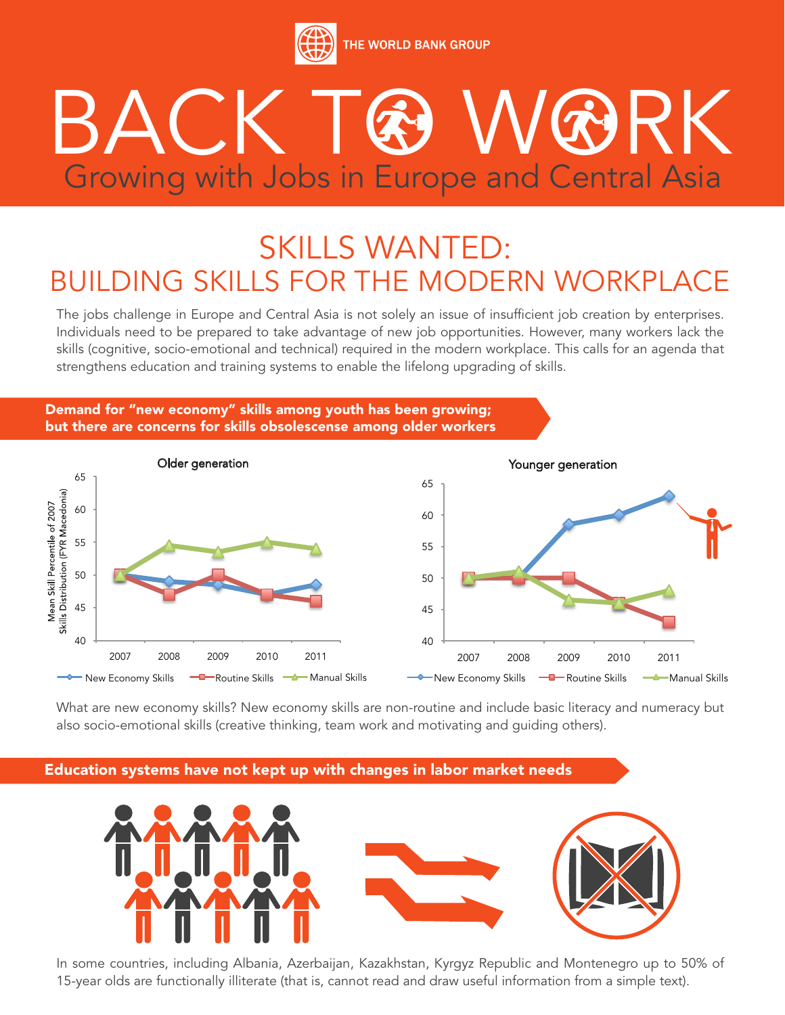

# BACK TGO WGBRK Growing with Jobs in Europe and Central Asia

## SKILLS WANTED: BUILDING SKILLS FOR THE MODERN WORKPLACE

The jobs challenge in Europe and Central Asia is not solely an issue of insufficient job creation by enterprises. Individuals need to be prepared to take advantage of new job opportunities. However, many workers lack the skills (cognitive, socio-emotional and technical) required in the modern workplace. This calls for an agenda that strengthens education and training systems to enable the lifelong upgrading of skills.





What are new economy skills? New economy skills are non-routine and include basic literacy and numeracy but also socio-emotional skills (creative thinking, team work and motivating and guiding others).

#### Education systems have not kept up with changes in labor market needs



In some countries, including Albania, Azerbaijan, Kazakhstan, Kyrgyz Republic and Montenegro up to 50% of 15-year olds are functionally illiterate (that is, cannot read and draw useful information from a simple text).